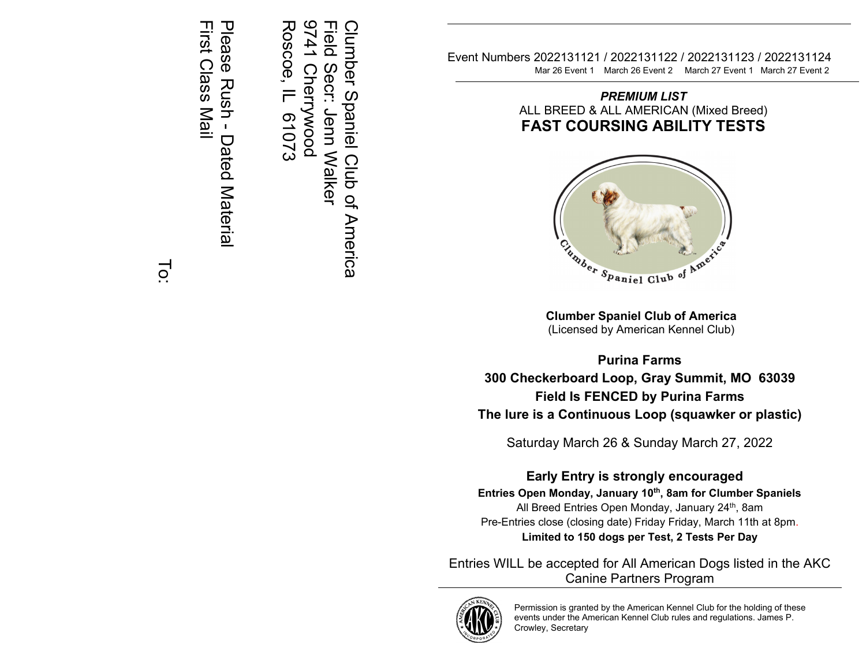Please<br>Rush lease Rush - Dated Material Dated Material

First Class Mail First Class Mail

141 **Field** Roscoe, IL 61073 9741 Cherrywood Field Secr: Jenn Walker Clumber Spaniel Club of America Roscoe, IL Clumber Spaniel Club of America **Cherrywood** Secr: Jenn Walker 61073

Event Numbers 2022131121 / 2022131122 / 2022131123 / 2022131124 Mar 26 Event 1 March 26 Event 2 March 27 Event 1 March 27 Event 2

*PREMIUM LIST* ALL BREED & ALL AMERICAN (Mixed Breed) **FAST COURSING ABILITY TESTS**



**Clumber Spaniel Club of America** (Licensed by American Kennel Club)

**Purina Farms 300 Checkerboard Loop, Gray Summit, MO 63039 Field Is FENCED by Purina Farms The lure is a Continuous Loop (squawker or plastic)**

Saturday March 26 & Sunday March 27, 2022

# **Early Entry is strongly encouraged**

**Entries Open Monday, January 1 0 th , 8am for Clumber Spaniels** All Breed Entries Open Monday, January 24th, 8am Pre-Entries close (closing date) Friday Friday, March 11th at 8pm. **Limited to 150 dogs per Test , 2 Tests Per Day**

Entries WILL be accepted for All American Dogs listed in the AKC Canine Partners Program



Permission is granted by the American Kennel Club for the holding of these events under the American Kennel Club rules and regulations. James P. Crowley, Secretary

 $\overline{O}$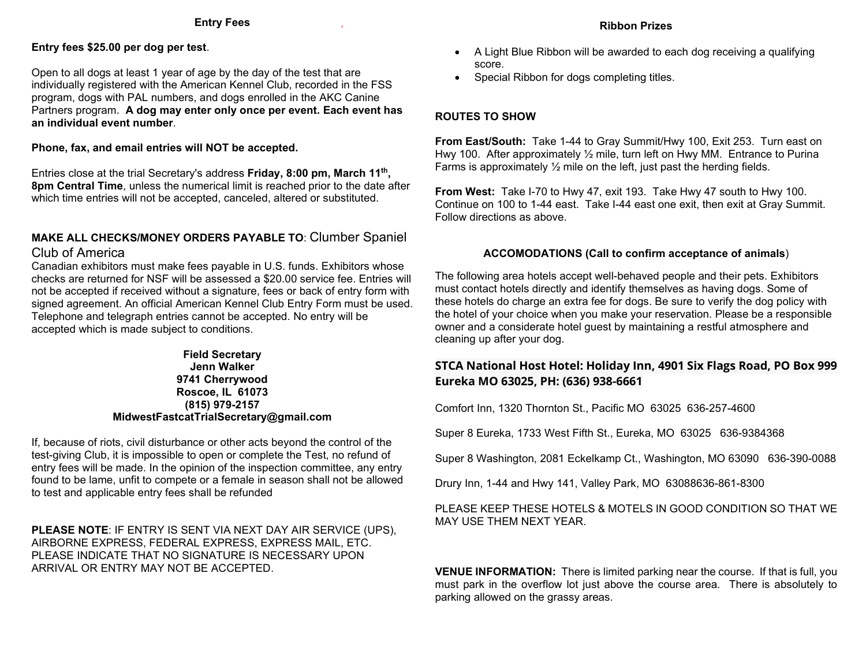#### **Entry Fees**

#### **Entry fees \$25.00 per dog per test**.

Open to all dogs at least 1 year of age by the day of the test that are individually registered with the American Kennel Club, recorded in the FSS program, dogs with PAL numbers, and dogs enrolled in the AKC Canine Partners program. **A dog may enter only once per event. Each event has an individual event number**.

#### **Phone, fax, and email entries will NOT be accepted.**

Entries close at the trial Secretary's address **Friday, 8:00 pm, March 11th, 8pm Central Time**, unless the numerical limit is reached prior to the date after which time entries will not be accepted, canceled, altered or substituted.

## **MAKE ALL CHECKS/MONEY ORDERS PAYABLE TO**: Clumber Spaniel Club of America

Canadian exhibitors must make fees payable in U.S. funds. Exhibitors whose checks are returned for NSF will be assessed a \$20.00 service fee. Entries will not be accepted if received without a signature, fees or back of entry form with signed agreement. An official American Kennel Club Entry Form must be used. Telephone and telegraph entries cannot be accepted. No entry will be accepted which is made subject to conditions.

#### **Field Secretary Jenn Walker 9741 Cherrywood Roscoe, IL 61073 (815) 979-2157 MidwestFastcatTrialSecretary@gmail.com**

If, because of riots, civil disturbance or other acts beyond the control of the test-giving Club, it is impossible to open or complete the Test, no refund of entry fees will be made. In the opinion of the inspection committee, any entry found to be lame, unfit to compete or a female in season shall not be allowed to test and applicable entry fees shall be refunded

**PLEASE NOTE**: IF ENTRY IS SENT VIA NEXT DAY AIR SERVICE (UPS), AIRBORNE EXPRESS, FEDERAL EXPRESS, EXPRESS MAIL, ETC. PLEASE INDICATE THAT NO SIGNATURE IS NECESSARY UPON ARRIVAL OR ENTRY MAY NOT BE ACCEPTED.

- A Light Blue Ribbon will be awarded to each dog receiving a qualifying score.
- Special Ribbon for dogs completing titles.

## **ROUTES TO SHOW**

**From East/South:** Take 1-44 to Gray Summit/Hwy 100, Exit 253. Turn east on Hwy 100. After approximately 1/2 mile, turn left on Hwy MM. Entrance to Purina Farms is approximately ½ mile on the left, just past the herding fields.

**From West:** Take I-70 to Hwy 47, exit 193. Take Hwy 47 south to Hwy 100. Continue on 100 to 1-44 east. Take I-44 east one exit, then exit at Gray Summit. Follow directions as above.

## **ACCOMODATIONS (Call to confirm acceptance of animals**)

The following area hotels accept well-behaved people and their pets. Exhibitors must contact hotels directly and identify themselves as having dogs. Some of these hotels do charge an extra fee for dogs. Be sure to verify the dog policy with the hotel of your choice when you make your reservation. Please be a responsible owner and a considerate hotel guest by maintaining a restful atmosphere and cleaning up after your dog.

## **STCA National Host Hotel: Holiday Inn, 4901 Six Flags Road, PO Box 999 Eureka MO 63025, PH: (636) 938-6661**

Comfort Inn, 1320 Thornton St., Pacific MO 63025 636-257-4600

Super 8 Eureka, 1733 West Fifth St., Eureka, MO 63025 636-9384368

Super 8 Washington, 2081 Eckelkamp Ct., Washington, MO 63090 636-390-0088

Drury Inn, 1-44 and Hwy 141, Valley Park, MO 63088636-861-8300

## PLEASE KEEP THESE HOTELS & MOTELS IN GOOD CONDITION SO THAT WE MAY USE THEM NEXT YEAR.

**VENUE INFORMATION:** There is limited parking near the course. If that is full, you must park in the overflow lot just above the course area. There is absolutely to parking allowed on the grassy areas.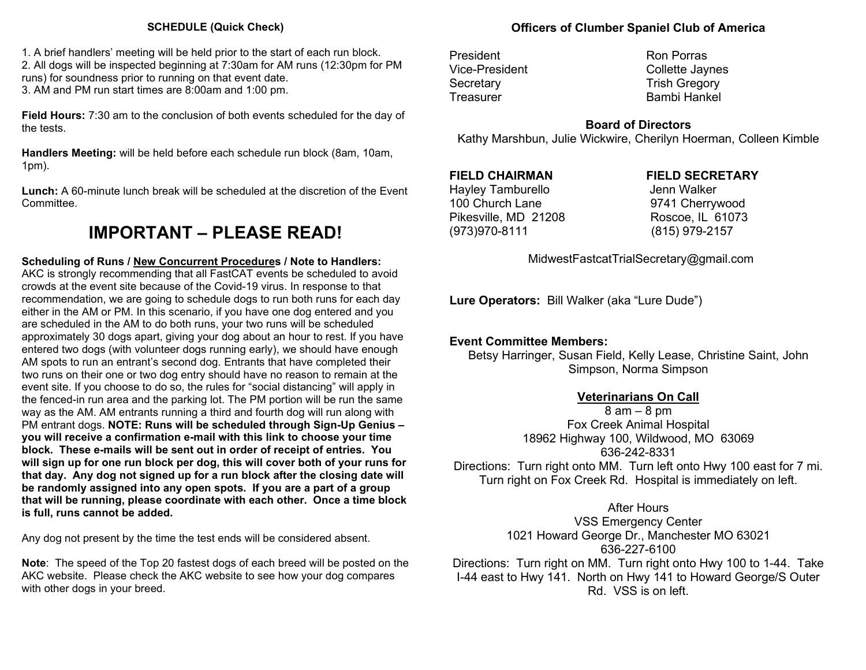## **SCHEDULE (Quick Check)**

1. A brief handlers' meeting will be held prior to the start of each run block. 2. All dogs will be inspected beginning at 7:30am for AM runs (12:30pm for PM runs) for soundness prior to running on that event date. 3. AM and PM run start times are 8:00am and 1:00 pm.

**Field Hours:** 7:30 am to the conclusion of both events scheduled for the day of the tests.

**Handlers Meeting:** will be held before each schedule run block (8am, 10am, 1pm).

**Lunch:** A 60-minute lunch break will be scheduled at the discretion of the Event Committee.

# **IMPORTANT – PLEASE READ!**

## **Scheduling of Runs / New Concurrent Procedures / Note to Handlers:**

AKC is strongly recommending that all FastCAT events be scheduled to avoid crowds at the event site because of the Covid-19 virus. In response to that recommendation, we are going to schedule dogs to run both runs for each day either in the AM or PM. In this scenario, if you have one dog entered and you are scheduled in the AM to do both runs, your two runs will be scheduled approximately 30 dogs apart, giving your dog about an hour to rest. If you have entered two dogs (with volunteer dogs running early), we should have enough AM spots to run an entrant's second dog. Entrants that have completed their two runs on their one or two dog entry should have no reason to remain at the event site. If you choose to do so, the rules for "social distancing" will apply in the fenced-in run area and the parking lot. The PM portion will be run the same way as the AM. AM entrants running a third and fourth dog will run along with PM entrant dogs. **NOTE: Runs will be scheduled through Sign-Up Genius – you will receive a confirmation e-mail with this link to choose your time block. These e-mails will be sent out in order of receipt of entries. You will sign up for one run block per dog, this will cover both of your runs for that day. Any dog not signed up for a run block after the closing date will be randomly assigned into any open spots. If you are a part of a group that will be running, please coordinate with each other. Once a time block is full, runs cannot be added.**

Any dog not present by the time the test ends will be considered absent.

**Note**: The speed of the Top 20 fastest dogs of each breed will be posted on the AKC website. Please check the AKC website to see how your dog compares with other dogs in your breed.

## **Officers of Clumber Spaniel Club of America**

President **Ron** Porras

Vice-President Collette Jaynes Secretary **Trish Gregory** Treasurer **Bambi Hankel** 

## **Board of Directors**

Kathy Marshbun, Julie Wickwire, Cherilyn Hoerman, Colleen Kimble

Hayley Tamburello **Hayley** Jenn Walker 100 Church Lane 9741 Cherrywood Pikesville, MD 21208 Roscoe, IL 61073 (973)970-8111 (815) 979-2157

## **FIELD CHAIRMAN FIELD SECRETARY**

MidwestFastcatTrialSecretary@gmail.com

**Lure Operators:** Bill Walker (aka "Lure Dude")

## **Event Committee Members:**

Betsy Harringer, Susan Field, Kelly Lease, Christine Saint, John Simpson, Norma Simpson

## **Veterinarians On Call**

 $8$  am  $-$  8 pm Fox Creek Animal Hospital 18962 Highway 100, Wildwood, MO 63069 636-242-8331 Directions: Turn right onto MM. Turn left onto Hwy 100 east for 7 mi. Turn right on Fox Creek Rd. Hospital is immediately on left.

After Hours

VSS Emergency Center 1021 Howard George Dr., Manchester MO 63021 636-227-6100 Directions: Turn right on MM. Turn right onto Hwy 100 to 1-44. Take I-44 east to Hwy 141. North on Hwy 141 to Howard George/S Outer Rd. VSS is on left.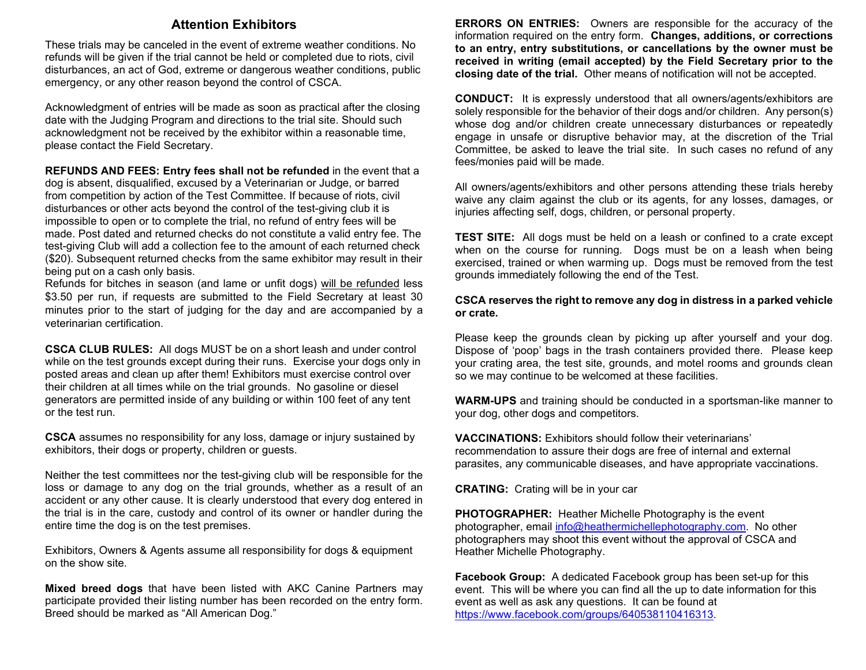## **Attention Exhibitors**

These trials may be canceled in the event of extreme weather conditions. No refunds will be given if the trial cannot be held or completed due to riots, civil disturbances, an act of God, extreme or dangerous weather conditions, public emergency, or any other reason beyond the control of CSCA.

Acknowledgment of entries will be made as soon as practical after the closing date with the Judging Program and directions to the trial site. Should such acknowledgment not be received by the exhibitor within a reasonable time, please contact the Field Secretary.

## **REFUNDS AND FEES: Entry fees shall not be refunded** in the event that a

dog is absent, disqualified, excused by a Veterinarian or Judge, or barred from competition by action of the Test Committee. If because of riots, civil disturbances or other acts beyond the control of the test-giving club it is impossible to open or to complete the trial, no refund of entry fees will be made. Post dated and returned checks do not constitute a valid entry fee. The test-giving Club will add a collection fee to the amount of each returned check (\$20). Subsequent returned checks from the same exhibitor may result in their being put on a cash only basis.

Refunds for bitches in season (and lame or unfit dogs) will be refunded less \$3.50 per run, if requests are submitted to the Field Secretary at least 30 minutes prior to the start of judging for the day and are accompanied by a veterinarian certification.

**CSCA CLUB RULES:** All dogs MUST be on a short leash and under control while on the test grounds except during their runs. Exercise your dogs only in posted areas and clean up after them! Exhibitors must exercise control over their children at all times while on the trial grounds. No gasoline or diesel generators are permitted inside of any building or within 100 feet of any tent or the test run.

**CSCA** assumes no responsibility for any loss, damage or injury sustained by exhibitors, their dogs or property, children or guests.

Neither the test committees nor the test-giving club will be responsible for the loss or damage to any dog on the trial grounds, whether as a result of an accident or any other cause. It is clearly understood that every dog entered in the trial is in the care, custody and control of its owner or handler during the entire time the dog is on the test premises.

Exhibitors, Owners & Agents assume all responsibility for dogs & equipment on the show site.

**Mixed breed dogs** that have been listed with AKC Canine Partners may participate provided their listing number has been recorded on the entry form. Breed should be marked as "All American Dog."

**ERRORS ON ENTRIES:** Owners are responsible for the accuracy of the information required on the entry form. **Changes, additions, or corrections to an entry, entry substitutions, or cancellations by the owner must be received in writing (email accepted) by the Field Secretary prior to the closing date of the trial.** Other means of notification will not be accepted.

**CONDUCT:** It is expressly understood that all owners/agents/exhibitors are solely responsible for the behavior of their dogs and/or children. Any person(s) whose dog and/or children create unnecessary disturbances or repeatedly engage in unsafe or disruptive behavior may, at the discretion of the Trial Committee, be asked to leave the trial site. In such cases no refund of any fees/monies paid will be made.

All owners/agents/exhibitors and other persons attending these trials hereby waive any claim against the club or its agents, for any losses, damages, or injuries affecting self, dogs, children, or personal property.

**TEST SITE:** All dogs must be held on a leash or confined to a crate except when on the course for running. Dogs must be on a leash when being exercised, trained or when warming up. Dogs must be removed from the test grounds immediately following the end of the Test.

#### **CSCA reserves the right to remove any dog in distress in a parked vehicle or crate.**

Please keep the grounds clean by picking up after yourself and your dog. Dispose of 'poop' bags in the trash containers provided there. Please keep your crating area, the test site, grounds, and motel rooms and grounds clean so we may continue to be welcomed at these facilities.

**WARM-UPS** and training should be conducted in a sportsman-like manner to your dog, other dogs and competitors.

**VACCINATIONS:** Exhibitors should follow their veterinarians' recommendation to assure their dogs are free of internal and external parasites, any communicable diseases, and have appropriate vaccinations.

**CRATING:** Crating will be in your car

**PHOTOGRAPHER:** Heather Michelle Photography is the event photographer, email [info@heathermichellephotography.com.](mailto:info@heathermichellephotography.com) No other photographers may shoot this event without the approval of CSCA and Heather Michelle Photography.

**Facebook Group:** A dedicated Facebook group has been set-up for this event. This will be where you can find all the up to date information for this event as well as ask any questions. It can be found at [https://www.facebook.com/groups/640538110416313.](https://www.facebook.com/groups/640538110416313)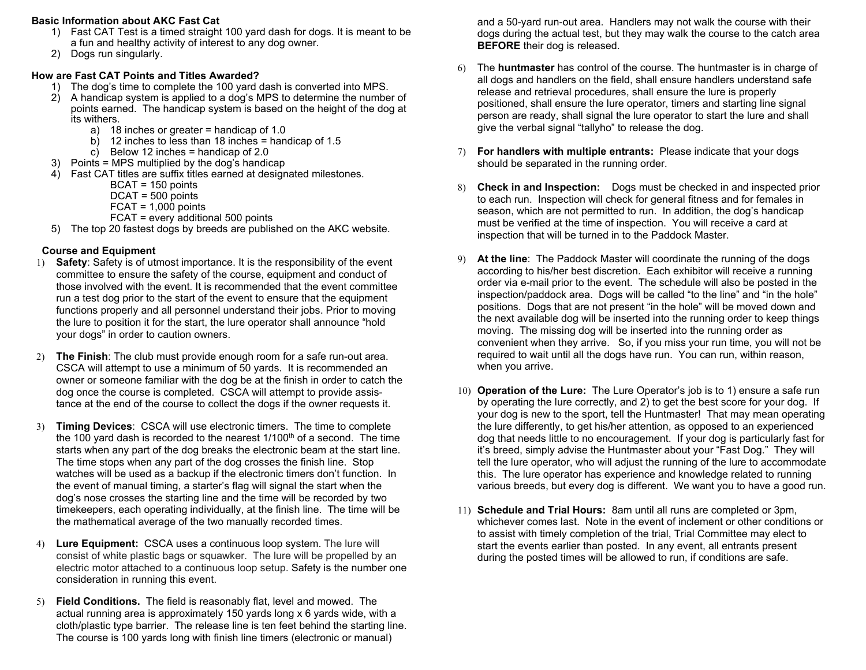#### **Basic Information about AKC Fast Cat**

- 1) Fast CAT Test is a timed straight 100 yard dash for dogs. It is meant to be a fun and healthy activity of interest to any dog owner.
- 2) Dogs run singularly.

## **How are Fast CAT Points and Titles Awarded?**

- 1) The dog's time to complete the 100 yard dash is converted into MPS.
- 2) A handicap system is applied to a dog's MPS to determine the number of points earned. The handicap system is based on the height of the dog at its withers.
	- a) 18 inches or greater = handicap of 1.0
	- b) 12 inches to less than 18 inches = handicap of 1.5
	- c) Below 12 inches = handicap of  $2.0$
- 3) Points = MPS multiplied by the dog's handicap
- 4) Fast CAT titles are suffix titles earned at designated milestones.
	- BCAT = 150 points
	- DCAT = 500 points
	- $FCAT = 1,000$  points
	- FCAT = every additional 500 points
- 5) The top 20 fastest dogs by breeds are published on the AKC website.

## **Course and Equipment**

- 1) **Safety**: Safety is of utmost importance. It is the responsibility of the event committee to ensure the safety of the course, equipment and conduct of those involved with the event. It is recommended that the event committee run a test dog prior to the start of the event to ensure that the equipment functions properly and all personnel understand their jobs. Prior to moving the lure to position it for the start, the lure operator shall announce "hold your dogs" in order to caution owners.
- 2) **The Finish**: The club must provide enough room for a safe run-out area. CSCA will attempt to use a minimum of 50 yards. It is recommended an owner or someone familiar with the dog be at the finish in order to catch the dog once the course is completed. CSCA will attempt to provide assistance at the end of the course to collect the dogs if the owner requests it.
- 3) **Timing Devices**: CSCA will use electronic timers. The time to complete the 100 yard dash is recorded to the nearest  $1/100<sup>th</sup>$  of a second. The time starts when any part of the dog breaks the electronic beam at the start line. The time stops when any part of the dog crosses the finish line. Stop watches will be used as a backup if the electronic timers don't function. In the event of manual timing, a starter's flag will signal the start when the dog's nose crosses the starting line and the time will be recorded by two timekeepers, each operating individually, at the finish line. The time will be the mathematical average of the two manually recorded times.
- 4) **Lure Equipment:** CSCA uses a continuous loop system. The lure will consist of white plastic bags or squawker. The lure will be propelled by an electric motor attached to a continuous loop setup. Safety is the number one consideration in running this event.
- 5) **Field Conditions.** The field is reasonably flat, level and mowed. The actual running area is approximately 150 yards long x 6 yards wide, with a cloth/plastic type barrier. The release line is ten feet behind the starting line. The course is 100 yards long with finish line timers (electronic or manual)

and a 50-yard run-out area. Handlers may not walk the course with their dogs during the actual test, but they may walk the course to the catch area **BEFORE** their dog is released.

- 6) The **huntmaster** has control of the course. The huntmaster is in charge of all dogs and handlers on the field, shall ensure handlers understand safe release and retrieval procedures, shall ensure the lure is properly positioned, shall ensure the lure operator, timers and starting line signal person are ready, shall signal the lure operator to start the lure and shall give the verbal signal "tallyho" to release the dog.
- 7) **For handlers with multiple entrants:** Please indicate that your dogs should be separated in the running order.
- 8) **Check in and Inspection:** Dogs must be checked in and inspected prior to each run. Inspection will check for general fitness and for females in season, which are not permitted to run. In addition, the dog's handicap must be verified at the time of inspection. You will receive a card at inspection that will be turned in to the Paddock Master.
- 9) **At the line**: The Paddock Master will coordinate the running of the dogs according to his/her best discretion. Each exhibitor will receive a running order via e-mail prior to the event. The schedule will also be posted in the inspection/paddock area. Dogs will be called "to the line" and "in the hole" positions. Dogs that are not present "in the hole" will be moved down and the next available dog will be inserted into the running order to keep things moving. The missing dog will be inserted into the running order as convenient when they arrive. So, if you miss your run time, you will not be required to wait until all the dogs have run. You can run, within reason, when you arrive.
- 10) **Operation of the Lure:** The Lure Operator's job is to 1) ensure a safe run by operating the lure correctly, and 2) to get the best score for your dog. If your dog is new to the sport, tell the Huntmaster! That may mean operating the lure differently, to get his/her attention, as opposed to an experienced dog that needs little to no encouragement. If your dog is particularly fast for it's breed, simply advise the Huntmaster about your "Fast Dog." They will tell the lure operator, who will adjust the running of the lure to accommodate this. The lure operator has experience and knowledge related to running various breeds, but every dog is different. We want you to have a good run.
- 11) **Schedule and Trial Hours:** 8am until all runs are completed or 3pm, whichever comes last. Note in the event of inclement or other conditions or to assist with timely completion of the trial, Trial Committee may elect to start the events earlier than posted. In any event, all entrants present during the posted times will be allowed to run, if conditions are safe.